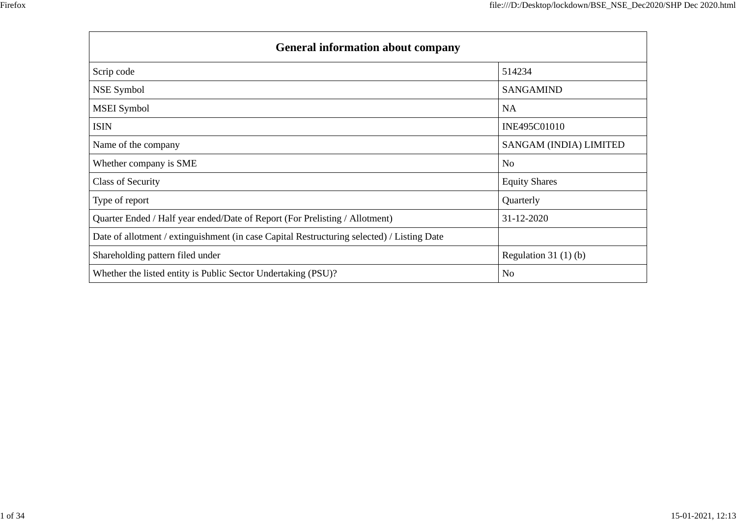| <b>General information about company</b>                                                   |                        |  |  |  |  |  |
|--------------------------------------------------------------------------------------------|------------------------|--|--|--|--|--|
| Scrip code                                                                                 | 514234                 |  |  |  |  |  |
| NSE Symbol                                                                                 | <b>SANGAMIND</b>       |  |  |  |  |  |
| <b>MSEI</b> Symbol                                                                         | <b>NA</b>              |  |  |  |  |  |
| <b>ISIN</b>                                                                                | INE495C01010           |  |  |  |  |  |
| Name of the company                                                                        | SANGAM (INDIA) LIMITED |  |  |  |  |  |
| Whether company is SME                                                                     | No                     |  |  |  |  |  |
| Class of Security                                                                          | <b>Equity Shares</b>   |  |  |  |  |  |
| Type of report                                                                             | Quarterly              |  |  |  |  |  |
| Quarter Ended / Half year ended/Date of Report (For Prelisting / Allotment)                | 31-12-2020             |  |  |  |  |  |
| Date of allotment / extinguishment (in case Capital Restructuring selected) / Listing Date |                        |  |  |  |  |  |
| Shareholding pattern filed under                                                           | Regulation $31(1)(b)$  |  |  |  |  |  |
| Whether the listed entity is Public Sector Undertaking (PSU)?                              | N <sub>0</sub>         |  |  |  |  |  |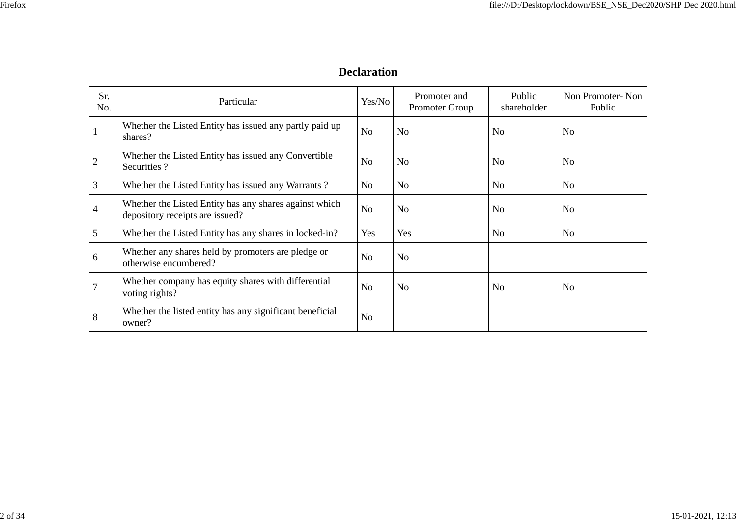| ۰. | ×<br>v |  |
|----|--------|--|
|    |        |  |

|                | <b>Declaration</b>                                                                        |                |                                |                       |                            |  |  |  |  |  |
|----------------|-------------------------------------------------------------------------------------------|----------------|--------------------------------|-----------------------|----------------------------|--|--|--|--|--|
| Sr.<br>No.     | Particular                                                                                | Yes/No         | Promoter and<br>Promoter Group | Public<br>shareholder | Non Promoter-Non<br>Public |  |  |  |  |  |
|                | Whether the Listed Entity has issued any partly paid up<br>shares?                        | N <sub>o</sub> | N <sub>o</sub>                 | N <sub>o</sub>        | N <sub>o</sub>             |  |  |  |  |  |
| $\overline{c}$ | Whether the Listed Entity has issued any Convertible<br>Securities?                       | N <sub>o</sub> | N <sub>o</sub>                 | N <sub>o</sub>        | N <sub>o</sub>             |  |  |  |  |  |
| 3              | Whether the Listed Entity has issued any Warrants?                                        | No             | N <sub>o</sub>                 | No                    | N <sub>o</sub>             |  |  |  |  |  |
| 4              | Whether the Listed Entity has any shares against which<br>depository receipts are issued? | N <sub>o</sub> | No                             | N <sub>o</sub>        | N <sub>o</sub>             |  |  |  |  |  |
| 5              | Whether the Listed Entity has any shares in locked-in?                                    | Yes            | Yes                            | N <sub>o</sub>        | N <sub>o</sub>             |  |  |  |  |  |
| 6              | Whether any shares held by promoters are pledge or<br>otherwise encumbered?               | N <sub>o</sub> | No                             |                       |                            |  |  |  |  |  |
| 7              | Whether company has equity shares with differential<br>voting rights?                     | N <sub>o</sub> | N <sub>o</sub>                 | N <sub>0</sub>        | No                         |  |  |  |  |  |
| 8              | Whether the listed entity has any significant beneficial<br>owner?                        | N <sub>o</sub> |                                |                       |                            |  |  |  |  |  |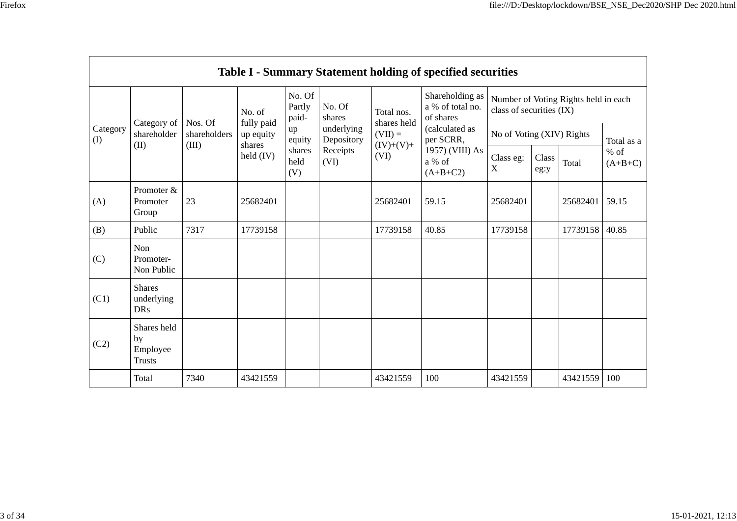|                 |                                                |                                  |                                   |                           |                          |                           | <b>Table I - Summary Statement holding of specified securities</b> |                                                                  |                           |          |                     |  |
|-----------------|------------------------------------------------|----------------------------------|-----------------------------------|---------------------------|--------------------------|---------------------------|--------------------------------------------------------------------|------------------------------------------------------------------|---------------------------|----------|---------------------|--|
|                 |                                                |                                  | No. of                            | No. Of<br>Partly<br>paid- | No. Of<br>shares         | Total nos.<br>shares held | Shareholding as<br>a % of total no.<br>of shares                   | Number of Voting Rights held in each<br>class of securities (IX) |                           |          |                     |  |
| Category<br>(I) | Category of<br>shareholder<br>(II)             | Nos. Of<br>shareholders<br>(III) | fully paid<br>up equity<br>shares | up<br>equity              | underlying<br>Depository | $(VII) =$<br>$(IV)+(V)+$  | (calculated as<br>per SCRR,                                        |                                                                  | No of Voting (XIV) Rights |          |                     |  |
|                 |                                                |                                  | held $(IV)$                       | shares<br>held<br>(V)     | Receipts<br>(VI)         | (VI)                      | 1957) (VIII) As<br>a % of<br>$(A+B+C2)$                            | Class eg:<br>$\mathbf X$                                         | Class<br>eg:y             | Total    | $%$ of<br>$(A+B+C)$ |  |
| (A)             | Promoter &<br>Promoter<br>Group                | 23                               | 25682401                          |                           |                          | 25682401                  | 59.15                                                              | 25682401                                                         |                           | 25682401 | 59.15               |  |
| (B)             | Public                                         | 7317                             | 17739158                          |                           |                          | 17739158                  | 40.85                                                              | 17739158                                                         |                           | 17739158 | 40.85               |  |
| (C)             | Non<br>Promoter-<br>Non Public                 |                                  |                                   |                           |                          |                           |                                                                    |                                                                  |                           |          |                     |  |
| (C1)            | <b>Shares</b><br>underlying<br><b>DRs</b>      |                                  |                                   |                           |                          |                           |                                                                    |                                                                  |                           |          |                     |  |
| (C2)            | Shares held<br>by<br>Employee<br><b>Trusts</b> |                                  |                                   |                           |                          |                           |                                                                    |                                                                  |                           |          |                     |  |
|                 | Total                                          | 7340                             | 43421559                          |                           |                          | 43421559                  | 100                                                                | 43421559                                                         |                           | 43421559 | 100                 |  |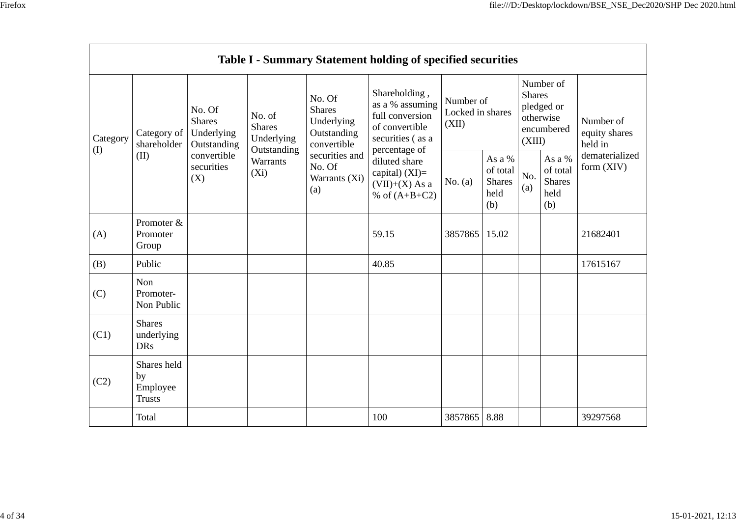|                 | Table I - Summary Statement holding of specified securities |                                                                                          |                                                                             |                                                                     |                                                                                                                                                                                        |                                        |                                                    |                         |                                                    |                                                                         |
|-----------------|-------------------------------------------------------------|------------------------------------------------------------------------------------------|-----------------------------------------------------------------------------|---------------------------------------------------------------------|----------------------------------------------------------------------------------------------------------------------------------------------------------------------------------------|----------------------------------------|----------------------------------------------------|-------------------------|----------------------------------------------------|-------------------------------------------------------------------------|
| Category<br>(I) | Category of<br>shareholder<br>(II)                          | No. Of<br><b>Shares</b><br>Underlying<br>Outstanding<br>convertible<br>securities<br>(X) | No. of<br><b>Shares</b><br>Underlying<br>Outstanding<br>Warrants<br>$(X_i)$ | No. Of<br><b>Shares</b><br>Underlying<br>Outstanding<br>convertible | Shareholding,<br>as a % assuming<br>full conversion<br>of convertible<br>securities (as a<br>percentage of<br>diluted share<br>capital) $(XI)=$<br>$(VII)+(X)$ As a<br>% of $(A+B+C2)$ | Number of<br>Locked in shares<br>(XII) |                                                    | <b>Shares</b><br>(XIII) | Number of<br>pledged or<br>otherwise<br>encumbered | Number of<br>equity shares<br>held in<br>dematerialized<br>form $(XIV)$ |
|                 |                                                             |                                                                                          |                                                                             | securities and<br>No. Of<br>Warrants (Xi)<br>(a)                    |                                                                                                                                                                                        | No. $(a)$                              | As a %<br>of total<br><b>Shares</b><br>held<br>(b) | No.<br>(a)              | As a %<br>of total<br><b>Shares</b><br>held<br>(b) |                                                                         |
| (A)             | Promoter &<br>Promoter<br>Group                             |                                                                                          |                                                                             |                                                                     | 59.15                                                                                                                                                                                  | 3857865                                | 15.02                                              |                         |                                                    | 21682401                                                                |
| (B)             | Public                                                      |                                                                                          |                                                                             |                                                                     | 40.85                                                                                                                                                                                  |                                        |                                                    |                         |                                                    | 17615167                                                                |
| (C)             | Non<br>Promoter-<br>Non Public                              |                                                                                          |                                                                             |                                                                     |                                                                                                                                                                                        |                                        |                                                    |                         |                                                    |                                                                         |
| (C1)            | <b>Shares</b><br>underlying<br><b>DRs</b>                   |                                                                                          |                                                                             |                                                                     |                                                                                                                                                                                        |                                        |                                                    |                         |                                                    |                                                                         |
| (C2)            | Shares held<br>by<br>Employee<br><b>Trusts</b>              |                                                                                          |                                                                             |                                                                     |                                                                                                                                                                                        |                                        |                                                    |                         |                                                    |                                                                         |
|                 | Total                                                       |                                                                                          |                                                                             |                                                                     | 100                                                                                                                                                                                    | 3857865 8.88                           |                                                    |                         |                                                    | 39297568                                                                |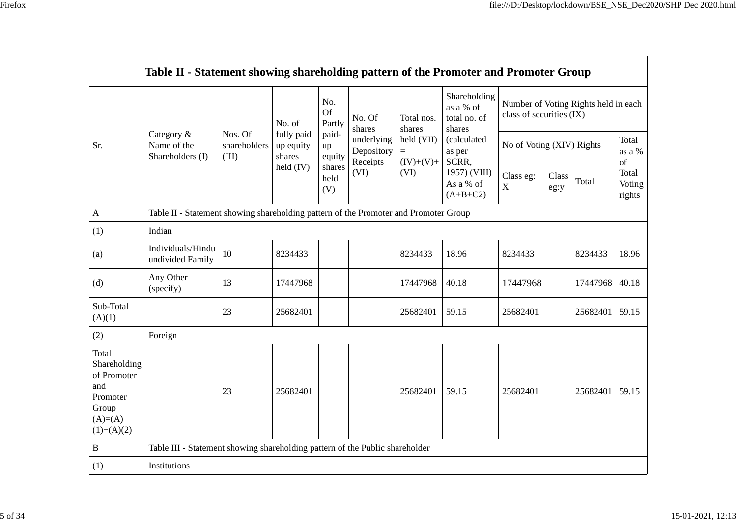| -<br>ı | L  |
|--------|----|
|        | ۰, |
|        |    |

|                                                                                               | Table II - Statement showing shareholding pattern of the Promoter and Promoter Group |                                  |                                                |                                 |                                                                  |                                                                  |                                                                                                                                  |                                                                  |               |          |                           |
|-----------------------------------------------------------------------------------------------|--------------------------------------------------------------------------------------|----------------------------------|------------------------------------------------|---------------------------------|------------------------------------------------------------------|------------------------------------------------------------------|----------------------------------------------------------------------------------------------------------------------------------|------------------------------------------------------------------|---------------|----------|---------------------------|
| Sr.                                                                                           |                                                                                      |                                  | No. of                                         | No.<br>Of<br>Partly             | No. Of<br>shares<br>underlying<br>Depository<br>Receipts<br>(VI) | Total nos.<br>shares<br>held (VII)<br>$=$<br>$(IV)+(V)+$<br>(VI) | Shareholding<br>as a % of<br>total no. of<br>shares<br>(calculated<br>as per<br>SCRR,<br>1957) (VIII)<br>As a % of<br>$(A+B+C2)$ | Number of Voting Rights held in each<br>class of securities (IX) |               |          |                           |
|                                                                                               | Category &<br>Name of the<br>Shareholders (I)                                        | Nos. Of<br>shareholders<br>(III) | fully paid<br>up equity<br>shares<br>held (IV) | paid-<br>up<br>equity<br>shares |                                                                  |                                                                  |                                                                                                                                  | No of Voting (XIV) Rights                                        |               |          | Total<br>as a %<br>of     |
|                                                                                               |                                                                                      |                                  |                                                | held<br>(V)                     |                                                                  |                                                                  |                                                                                                                                  | Class eg:<br>$\mathbf X$                                         | Class<br>eg:y | Total    | Total<br>Voting<br>rights |
| $\mathbf{A}$                                                                                  | Table II - Statement showing shareholding pattern of the Promoter and Promoter Group |                                  |                                                |                                 |                                                                  |                                                                  |                                                                                                                                  |                                                                  |               |          |                           |
| (1)                                                                                           | Indian                                                                               |                                  |                                                |                                 |                                                                  |                                                                  |                                                                                                                                  |                                                                  |               |          |                           |
| (a)                                                                                           | Individuals/Hindu<br>undivided Family                                                | 10                               | 8234433                                        |                                 |                                                                  | 8234433                                                          | 18.96                                                                                                                            | 8234433                                                          |               | 8234433  | 18.96                     |
| (d)                                                                                           | Any Other<br>(specify)                                                               | 13                               | 17447968                                       |                                 |                                                                  | 17447968                                                         | 40.18                                                                                                                            | 17447968                                                         |               | 17447968 | 40.18                     |
| Sub-Total<br>(A)(1)                                                                           |                                                                                      | 23                               | 25682401                                       |                                 |                                                                  | 25682401                                                         | 59.15                                                                                                                            | 25682401                                                         |               | 25682401 | 59.15                     |
| (2)                                                                                           | Foreign                                                                              |                                  |                                                |                                 |                                                                  |                                                                  |                                                                                                                                  |                                                                  |               |          |                           |
| Total<br>Shareholding<br>of Promoter<br>and<br>Promoter<br>Group<br>$(A)=(A)$<br>$(1)+(A)(2)$ |                                                                                      | 23                               | 25682401                                       |                                 |                                                                  | 25682401                                                         | 59.15                                                                                                                            | 25682401                                                         |               | 25682401 | 59.15                     |
| B                                                                                             | Table III - Statement showing shareholding pattern of the Public shareholder         |                                  |                                                |                                 |                                                                  |                                                                  |                                                                                                                                  |                                                                  |               |          |                           |
| (1)                                                                                           | Institutions                                                                         |                                  |                                                |                                 |                                                                  |                                                                  |                                                                                                                                  |                                                                  |               |          |                           |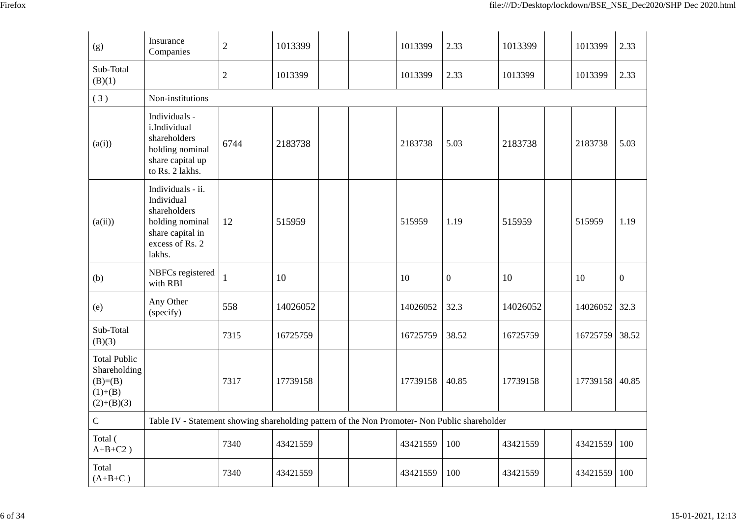| (g)                                                                          | Insurance<br>Companies                                                                                              | $\sqrt{2}$     | 1013399  | 1013399  | 2.33             | 1013399  | 1013399        | 2.33             |
|------------------------------------------------------------------------------|---------------------------------------------------------------------------------------------------------------------|----------------|----------|----------|------------------|----------|----------------|------------------|
| Sub-Total<br>(B)(1)                                                          |                                                                                                                     | $\overline{2}$ | 1013399  | 1013399  | 2.33             | 1013399  | 1013399        | 2.33             |
| (3)                                                                          | Non-institutions                                                                                                    |                |          |          |                  |          |                |                  |
| (a(i))                                                                       | Individuals -<br>i.Individual<br>shareholders<br>holding nominal<br>share capital up<br>to Rs. 2 lakhs.             | 6744           | 2183738  | 2183738  | 5.03             | 2183738  | 2183738        | 5.03             |
| (a(ii))                                                                      | Individuals - ii.<br>Individual<br>shareholders<br>holding nominal<br>share capital in<br>excess of Rs. 2<br>lakhs. | 12             | 515959   | 515959   | 1.19             | 515959   | 515959         | 1.19             |
| (b)                                                                          | NBFCs registered<br>with RBI                                                                                        | 1              | 10       | 10       | $\boldsymbol{0}$ | 10       | 10             | $\boldsymbol{0}$ |
| (e)                                                                          | Any Other<br>(specify)                                                                                              | 558            | 14026052 | 14026052 | 32.3             | 14026052 | 14026052       | 32.3             |
| Sub-Total<br>(B)(3)                                                          |                                                                                                                     | 7315           | 16725759 | 16725759 | 38.52            | 16725759 | 16725759       | 38.52            |
| <b>Total Public</b><br>Shareholding<br>$(B)=B)$<br>$(1)+(B)$<br>$(2)+(B)(3)$ |                                                                                                                     | 7317           | 17739158 | 17739158 | 40.85            | 17739158 | 17739158 40.85 |                  |
| $\mathbf C$                                                                  | Table IV - Statement showing shareholding pattern of the Non Promoter- Non Public shareholder                       |                |          |          |                  |          |                |                  |
| Total (<br>$A+B+C2$ )                                                        |                                                                                                                     | 7340           | 43421559 | 43421559 | 100              | 43421559 | 43421559       | 100              |
| Total<br>$(A+B+C)$                                                           |                                                                                                                     | 7340           | 43421559 | 43421559 | 100              | 43421559 | 43421559       | 100              |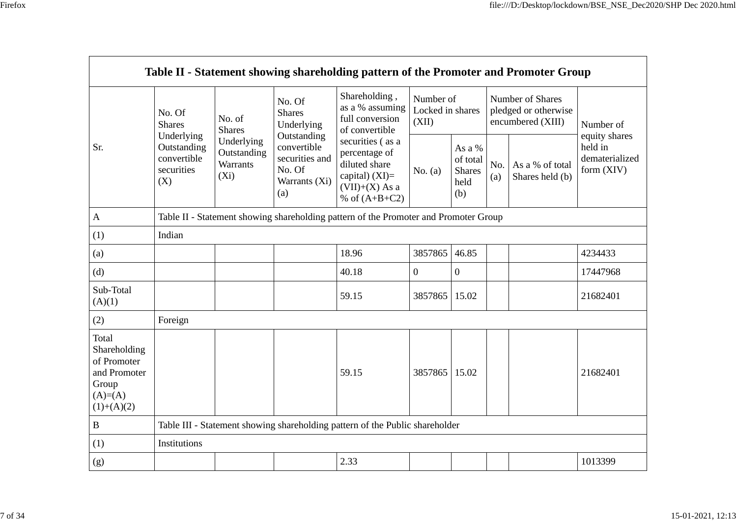| ero |
|-----|
|     |
|     |

 $\blacksquare$ 

|                                                                                             |                                                                                          |                                                                                      |                                                                                                                         | Table II - Statement showing shareholding pattern of the Promoter and Promoter Group                                                                                                   |                                        |                                                    |            |                                                               |                                         |  |  |  |
|---------------------------------------------------------------------------------------------|------------------------------------------------------------------------------------------|--------------------------------------------------------------------------------------|-------------------------------------------------------------------------------------------------------------------------|----------------------------------------------------------------------------------------------------------------------------------------------------------------------------------------|----------------------------------------|----------------------------------------------------|------------|---------------------------------------------------------------|-----------------------------------------|--|--|--|
| Sr.                                                                                         | No. Of<br><b>Shares</b><br>Underlying<br>Outstanding<br>convertible<br>securities<br>(X) | No. of<br><b>Shares</b><br>Underlying<br>Outstanding<br>Warrants<br>$(X_i)$          | No. Of<br><b>Shares</b><br>Underlying<br>Outstanding<br>convertible<br>securities and<br>No. Of<br>Warrants (Xi)<br>(a) | Shareholding,<br>as a % assuming<br>full conversion<br>of convertible<br>securities (as a<br>percentage of<br>diluted share<br>capital) $(XI)=$<br>$(VII)+(X)$ As a<br>% of $(A+B+C2)$ | Number of<br>Locked in shares<br>(XII) |                                                    |            | Number of Shares<br>pledged or otherwise<br>encumbered (XIII) | Number of<br>equity shares              |  |  |  |
|                                                                                             |                                                                                          |                                                                                      |                                                                                                                         |                                                                                                                                                                                        | No. $(a)$                              | As a %<br>of total<br><b>Shares</b><br>held<br>(b) | No.<br>(a) | As a % of total<br>Shares held (b)                            | held in<br>dematerialized<br>form (XIV) |  |  |  |
| $\mathbf{A}$                                                                                |                                                                                          | Table II - Statement showing shareholding pattern of the Promoter and Promoter Group |                                                                                                                         |                                                                                                                                                                                        |                                        |                                                    |            |                                                               |                                         |  |  |  |
| (1)                                                                                         | Indian                                                                                   |                                                                                      |                                                                                                                         |                                                                                                                                                                                        |                                        |                                                    |            |                                                               |                                         |  |  |  |
| (a)                                                                                         |                                                                                          |                                                                                      |                                                                                                                         | 18.96                                                                                                                                                                                  | 3857865                                | 46.85                                              |            |                                                               | 4234433                                 |  |  |  |
| (d)                                                                                         |                                                                                          |                                                                                      |                                                                                                                         | 40.18                                                                                                                                                                                  | $\overline{0}$                         | $\overline{0}$                                     |            |                                                               | 17447968                                |  |  |  |
| Sub-Total<br>(A)(1)                                                                         |                                                                                          |                                                                                      |                                                                                                                         | 59.15                                                                                                                                                                                  | 3857865                                | 15.02                                              |            |                                                               | 21682401                                |  |  |  |
| (2)                                                                                         | Foreign                                                                                  |                                                                                      |                                                                                                                         |                                                                                                                                                                                        |                                        |                                                    |            |                                                               |                                         |  |  |  |
| Total<br>Shareholding<br>of Promoter<br>and Promoter<br>Group<br>$(A)= (A)$<br>$(1)+(A)(2)$ |                                                                                          |                                                                                      |                                                                                                                         | 59.15                                                                                                                                                                                  | 3857865                                | 15.02                                              |            |                                                               | 21682401                                |  |  |  |
| $\, {\bf B}$                                                                                |                                                                                          |                                                                                      |                                                                                                                         | Table III - Statement showing shareholding pattern of the Public shareholder                                                                                                           |                                        |                                                    |            |                                                               |                                         |  |  |  |
| (1)                                                                                         | Institutions                                                                             |                                                                                      |                                                                                                                         |                                                                                                                                                                                        |                                        |                                                    |            |                                                               |                                         |  |  |  |
| (g)                                                                                         |                                                                                          |                                                                                      |                                                                                                                         | 2.33                                                                                                                                                                                   |                                        |                                                    |            |                                                               | 1013399                                 |  |  |  |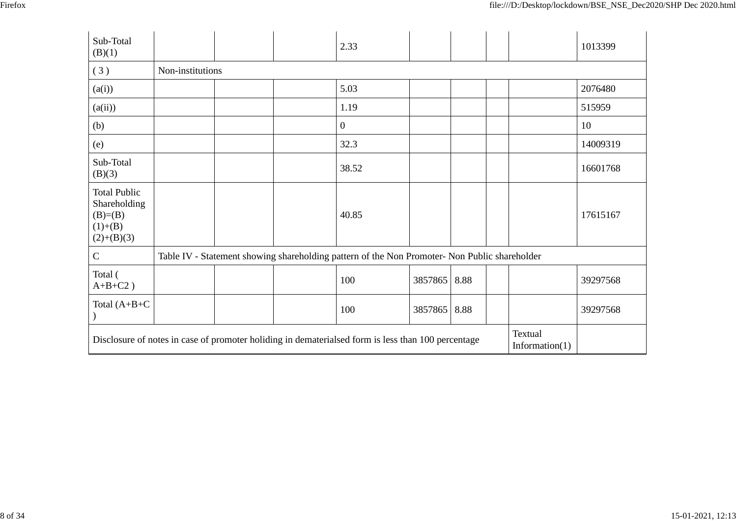| ۰,<br>۰, |
|----------|
|----------|

| Sub-Total<br>(B)(1)                                                            |                                                                                                                                    |  |  | 2.33                                                                                          |         |      |  |  | 1013399  |
|--------------------------------------------------------------------------------|------------------------------------------------------------------------------------------------------------------------------------|--|--|-----------------------------------------------------------------------------------------------|---------|------|--|--|----------|
| (3)                                                                            | Non-institutions                                                                                                                   |  |  |                                                                                               |         |      |  |  |          |
| (a(i))                                                                         |                                                                                                                                    |  |  | 5.03                                                                                          |         |      |  |  | 2076480  |
| (a(ii))                                                                        |                                                                                                                                    |  |  | 1.19                                                                                          |         |      |  |  | 515959   |
| (b)                                                                            |                                                                                                                                    |  |  | $\boldsymbol{0}$                                                                              |         |      |  |  | 10       |
| (e)                                                                            |                                                                                                                                    |  |  | 32.3                                                                                          |         |      |  |  | 14009319 |
| Sub-Total<br>(B)(3)                                                            |                                                                                                                                    |  |  | 38.52                                                                                         |         |      |  |  | 16601768 |
| <b>Total Public</b><br>Shareholding<br>$(B)= (B)$<br>$(1)+(B)$<br>$(2)+(B)(3)$ |                                                                                                                                    |  |  | 40.85                                                                                         |         |      |  |  | 17615167 |
| $\mathbf C$                                                                    |                                                                                                                                    |  |  | Table IV - Statement showing shareholding pattern of the Non Promoter- Non Public shareholder |         |      |  |  |          |
| Total (<br>$A+B+C2$ )                                                          |                                                                                                                                    |  |  | 100                                                                                           | 3857865 | 8.88 |  |  | 39297568 |
| Total $(A+B+C)$                                                                |                                                                                                                                    |  |  | 100                                                                                           | 3857865 | 8.88 |  |  | 39297568 |
|                                                                                | Textual<br>Disclosure of notes in case of promoter holiding in dematerialsed form is less than 100 percentage<br>Information $(1)$ |  |  |                                                                                               |         |      |  |  |          |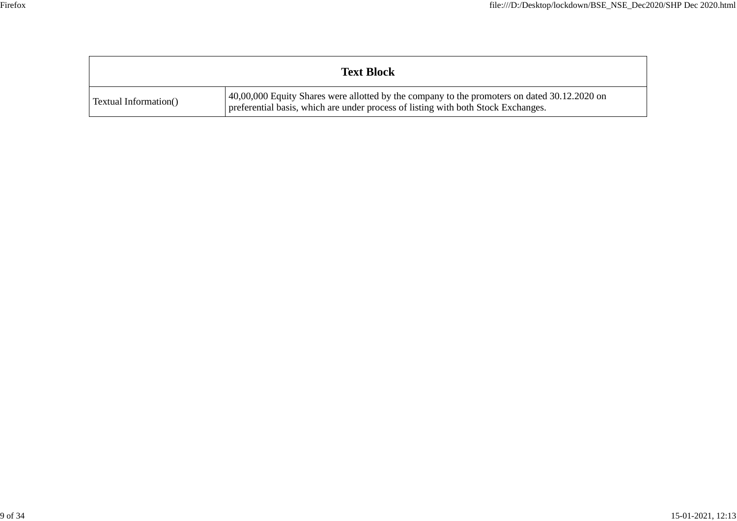|                       | <b>Text Block</b>                                                                                                                                                                 |
|-----------------------|-----------------------------------------------------------------------------------------------------------------------------------------------------------------------------------|
| Textual Information() | 40,00,000 Equity Shares were allotted by the company to the promoters on dated 30.12.2020 on<br>preferential basis, which are under process of listing with both Stock Exchanges. |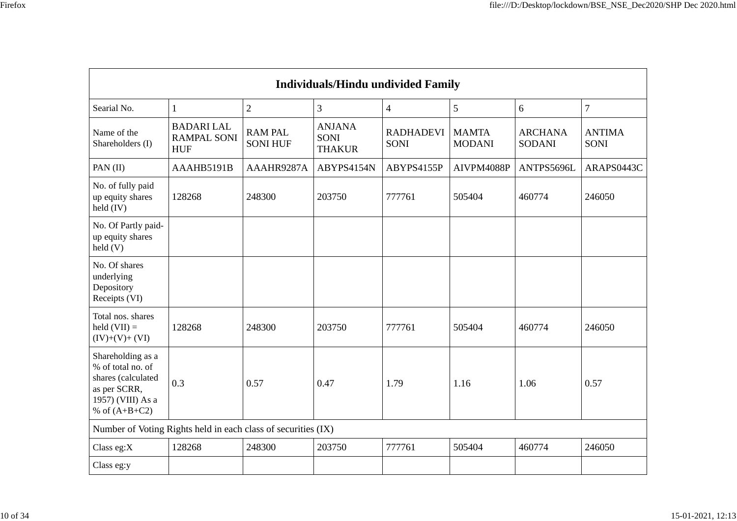| <b>Individuals/Hindu undivided Family</b>                                                                            |                                                               |                                   |                                               |                                 |                               |                                 |                              |  |  |
|----------------------------------------------------------------------------------------------------------------------|---------------------------------------------------------------|-----------------------------------|-----------------------------------------------|---------------------------------|-------------------------------|---------------------------------|------------------------------|--|--|
| Searial No.                                                                                                          | 1                                                             | $\overline{2}$                    | $\overline{3}$                                | $\overline{4}$                  | 5                             | 6                               | $\overline{7}$               |  |  |
| Name of the<br>Shareholders (I)                                                                                      | <b>BADARI LAL</b><br><b>RAMPAL SONI</b><br><b>HUF</b>         | <b>RAM PAL</b><br><b>SONI HUF</b> | <b>ANJANA</b><br><b>SONI</b><br><b>THAKUR</b> | <b>RADHADEVI</b><br><b>SONI</b> | <b>MAMTA</b><br><b>MODANI</b> | <b>ARCHANA</b><br><b>SODANI</b> | <b>ANTIMA</b><br><b>SONI</b> |  |  |
| PAN (II)                                                                                                             | AAAHB5191B                                                    | AAAHR9287A                        | ABYPS4154N                                    | ABYPS4155P                      | AIVPM4088P                    | ANTPS5696L                      | ARAPS0443C                   |  |  |
| No. of fully paid<br>up equity shares<br>held (IV)                                                                   | 128268                                                        | 248300                            | 203750                                        | 777761                          | 505404                        | 460774                          | 246050                       |  |  |
| No. Of Partly paid-<br>up equity shares<br>$\text{held}$ (V)                                                         |                                                               |                                   |                                               |                                 |                               |                                 |                              |  |  |
| No. Of shares<br>underlying<br>Depository<br>Receipts (VI)                                                           |                                                               |                                   |                                               |                                 |                               |                                 |                              |  |  |
| Total nos. shares<br>held $(VII) =$<br>$(IV)+(V)+(VI)$                                                               | 128268                                                        | 248300                            | 203750                                        | 777761                          | 505404                        | 460774                          | 246050                       |  |  |
| Shareholding as a<br>% of total no. of<br>shares (calculated<br>as per SCRR,<br>1957) (VIII) As a<br>% of $(A+B+C2)$ | 0.3                                                           | 0.57                              | 0.47                                          | 1.79                            | 1.16                          | 1.06                            | 0.57                         |  |  |
|                                                                                                                      | Number of Voting Rights held in each class of securities (IX) |                                   |                                               |                                 |                               |                                 |                              |  |  |
| Class eg:X                                                                                                           | 128268                                                        | 248300                            | 203750                                        | 777761                          | 505404                        | 460774                          | 246050                       |  |  |
| Class eg:y                                                                                                           |                                                               |                                   |                                               |                                 |                               |                                 |                              |  |  |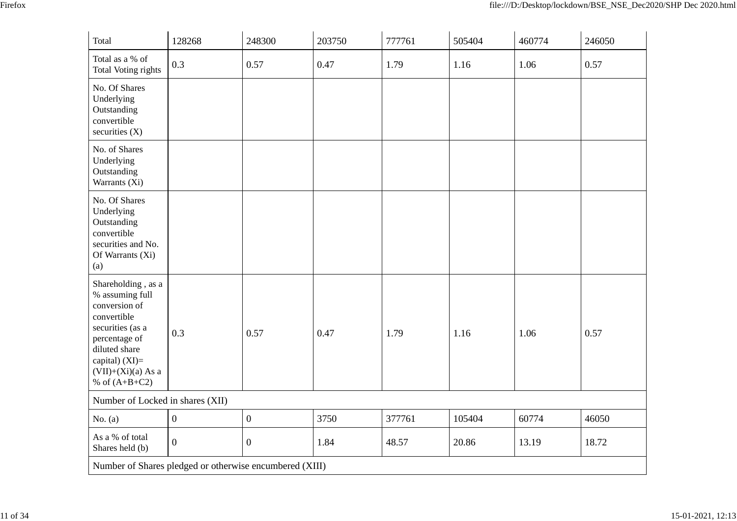| Total                                                                                                                                                                                      | 128268           | 248300           | 203750 | 777761 | 505404 | 460774 | 246050 |
|--------------------------------------------------------------------------------------------------------------------------------------------------------------------------------------------|------------------|------------------|--------|--------|--------|--------|--------|
| Total as a % of<br><b>Total Voting rights</b>                                                                                                                                              | 0.3              | 0.57             | 0.47   | 1.79   | 1.16   | 1.06   | 0.57   |
| No. Of Shares<br>Underlying<br>Outstanding<br>convertible<br>securities (X)                                                                                                                |                  |                  |        |        |        |        |        |
| No. of Shares<br>Underlying<br>Outstanding<br>Warrants (Xi)                                                                                                                                |                  |                  |        |        |        |        |        |
| No. Of Shares<br>Underlying<br>Outstanding<br>convertible<br>securities and No.<br>Of Warrants (Xi)<br>(a)                                                                                 |                  |                  |        |        |        |        |        |
| Shareholding, as a<br>% assuming full<br>conversion of<br>convertible<br>securities (as a<br>percentage of<br>diluted share<br>capital) $(XI)=$<br>$(VII)+(Xi)(a) As a$<br>% of $(A+B+C2)$ | 0.3              | 0.57             | 0.47   | 1.79   | 1.16   | 1.06   | 0.57   |
| Number of Locked in shares (XII)                                                                                                                                                           |                  |                  |        |        |        |        |        |
| No. $(a)$                                                                                                                                                                                  | $\boldsymbol{0}$ | $\overline{0}$   | 3750   | 377761 | 105404 | 60774  | 46050  |
| As a % of total<br>Shares held (b)                                                                                                                                                         | $\mathbf{0}$     | $\boldsymbol{0}$ | 1.84   | 48.57  | 20.86  | 13.19  | 18.72  |
| Number of Shares pledged or otherwise encumbered (XIII)                                                                                                                                    |                  |                  |        |        |        |        |        |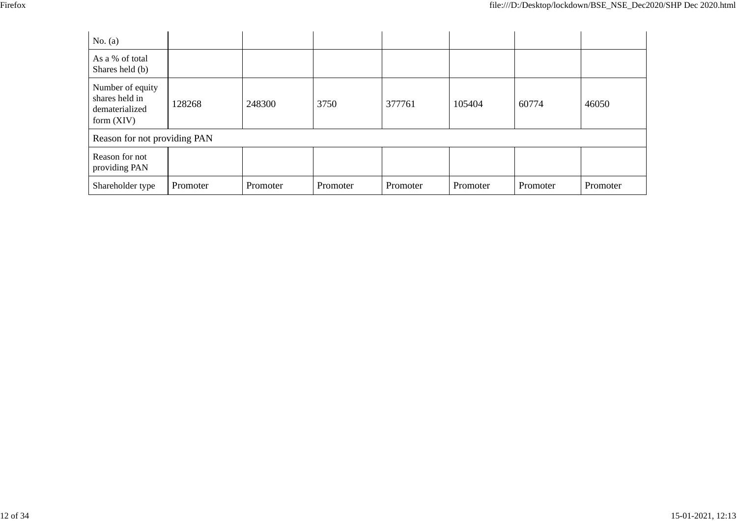| No. $(a)$                                                            |          |          |          |          |          |          |          |
|----------------------------------------------------------------------|----------|----------|----------|----------|----------|----------|----------|
| As a % of total<br>Shares held (b)                                   |          |          |          |          |          |          |          |
| Number of equity<br>shares held in<br>dematerialized<br>form $(XIV)$ | 128268   | 248300   | 3750     | 377761   | 105404   | 60774    | 46050    |
| Reason for not providing PAN                                         |          |          |          |          |          |          |          |
| Reason for not<br>providing PAN                                      |          |          |          |          |          |          |          |
| Shareholder type                                                     | Promoter | Promoter | Promoter | Promoter | Promoter | Promoter | Promoter |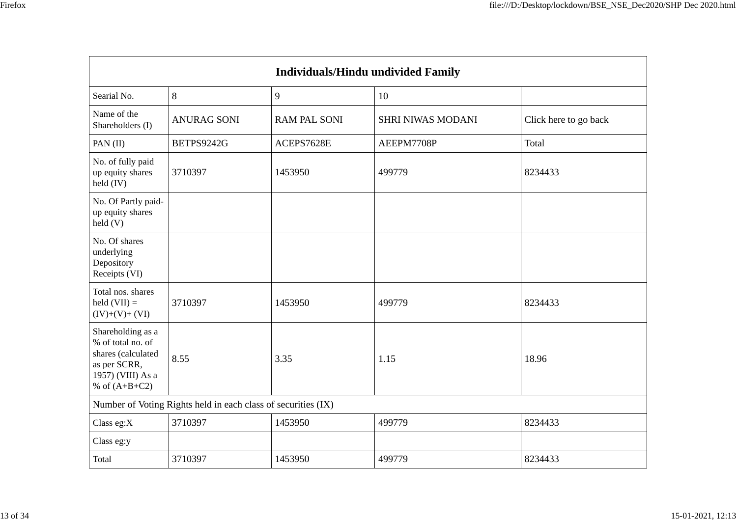|                                                                                                                      | <b>Individuals/Hindu undivided Family</b>                     |                     |                          |                       |  |  |  |  |  |  |
|----------------------------------------------------------------------------------------------------------------------|---------------------------------------------------------------|---------------------|--------------------------|-----------------------|--|--|--|--|--|--|
| Searial No.                                                                                                          | 8                                                             | 9                   | 10                       |                       |  |  |  |  |  |  |
| Name of the<br>Shareholders (I)                                                                                      | <b>ANURAG SONI</b>                                            | <b>RAM PAL SONI</b> | <b>SHRI NIWAS MODANI</b> | Click here to go back |  |  |  |  |  |  |
| PAN (II)                                                                                                             | BETPS9242G                                                    | ACEPS7628E          | AEEPM7708P               | Total                 |  |  |  |  |  |  |
| No. of fully paid<br>up equity shares<br>held (IV)                                                                   | 3710397                                                       | 1453950             | 499779                   | 8234433               |  |  |  |  |  |  |
| No. Of Partly paid-<br>up equity shares<br>$\text{held}(V)$                                                          |                                                               |                     |                          |                       |  |  |  |  |  |  |
| No. Of shares<br>underlying<br>Depository<br>Receipts (VI)                                                           |                                                               |                     |                          |                       |  |  |  |  |  |  |
| Total nos. shares<br>held $(VII) =$<br>$(IV)+(V)+(VI)$                                                               | 3710397                                                       | 1453950             | 499779                   | 8234433               |  |  |  |  |  |  |
| Shareholding as a<br>% of total no. of<br>shares (calculated<br>as per SCRR,<br>1957) (VIII) As a<br>% of $(A+B+C2)$ | 8.55                                                          | 3.35                | 1.15                     | 18.96                 |  |  |  |  |  |  |
|                                                                                                                      | Number of Voting Rights held in each class of securities (IX) |                     |                          |                       |  |  |  |  |  |  |
| Class eg:X                                                                                                           | 3710397                                                       | 1453950             | 499779                   | 8234433               |  |  |  |  |  |  |
| Class eg:y                                                                                                           |                                                               |                     |                          |                       |  |  |  |  |  |  |
| Total                                                                                                                | 3710397                                                       | 1453950             | 499779                   | 8234433               |  |  |  |  |  |  |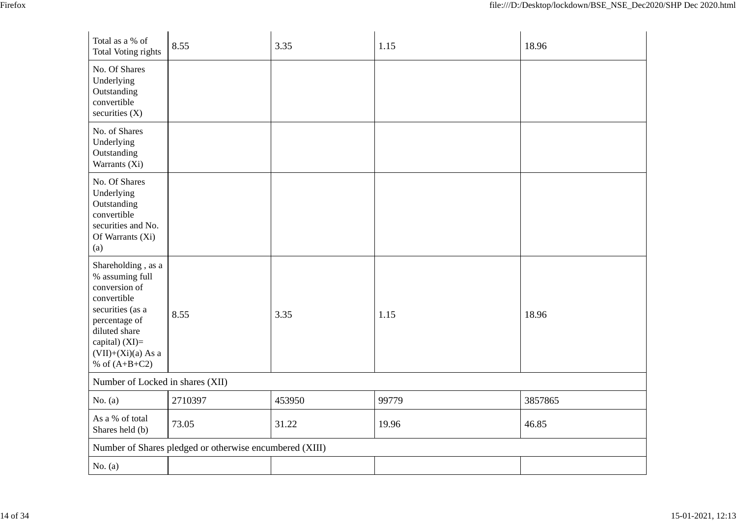| Total as a % of<br>Total Voting rights                                                                                                                                                   | 8.55                                                    | 3.35   | 1.15  | 18.96   |
|------------------------------------------------------------------------------------------------------------------------------------------------------------------------------------------|---------------------------------------------------------|--------|-------|---------|
| No. Of Shares<br>Underlying<br>Outstanding<br>convertible<br>securities (X)                                                                                                              |                                                         |        |       |         |
| No. of Shares<br>Underlying<br>Outstanding<br>Warrants (Xi)                                                                                                                              |                                                         |        |       |         |
| No. Of Shares<br>Underlying<br>Outstanding<br>convertible<br>securities and No.<br>Of Warrants (Xi)<br>(a)                                                                               |                                                         |        |       |         |
| Shareholding, as a<br>% assuming full<br>conversion of<br>convertible<br>securities (as a<br>percentage of<br>diluted share<br>capital) (XI)=<br>$(VII)+(Xi)(a) As a$<br>% of $(A+B+C2)$ | 8.55                                                    | 3.35   | 1.15  | 18.96   |
| Number of Locked in shares (XII)                                                                                                                                                         |                                                         |        |       |         |
| No. $(a)$                                                                                                                                                                                | 2710397                                                 | 453950 | 99779 | 3857865 |
| As a % of total<br>Shares held (b)                                                                                                                                                       | 73.05                                                   | 31.22  | 19.96 | 46.85   |
|                                                                                                                                                                                          | Number of Shares pledged or otherwise encumbered (XIII) |        |       |         |
| No. $(a)$                                                                                                                                                                                |                                                         |        |       |         |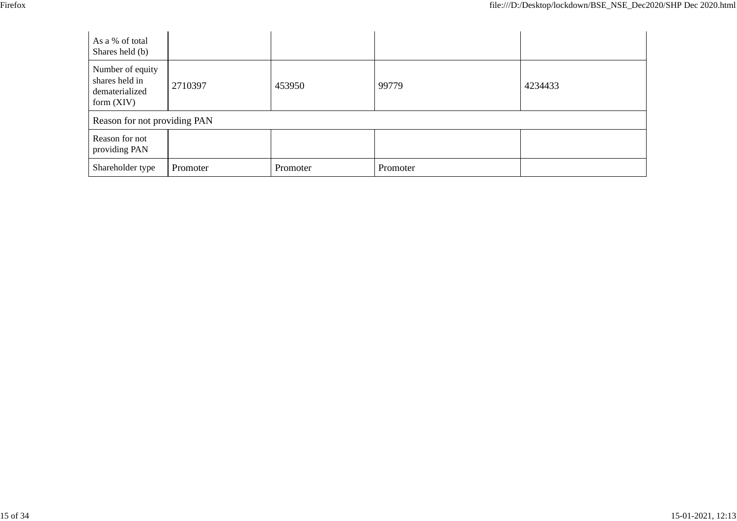| As a % of total<br>Shares held (b)                                   |          |          |          |         |
|----------------------------------------------------------------------|----------|----------|----------|---------|
| Number of equity<br>shares held in<br>dematerialized<br>form $(XIV)$ | 2710397  | 453950   | 99779    | 4234433 |
| Reason for not providing PAN                                         |          |          |          |         |
| Reason for not<br>providing PAN                                      |          |          |          |         |
| Shareholder type                                                     | Promoter | Promoter | Promoter |         |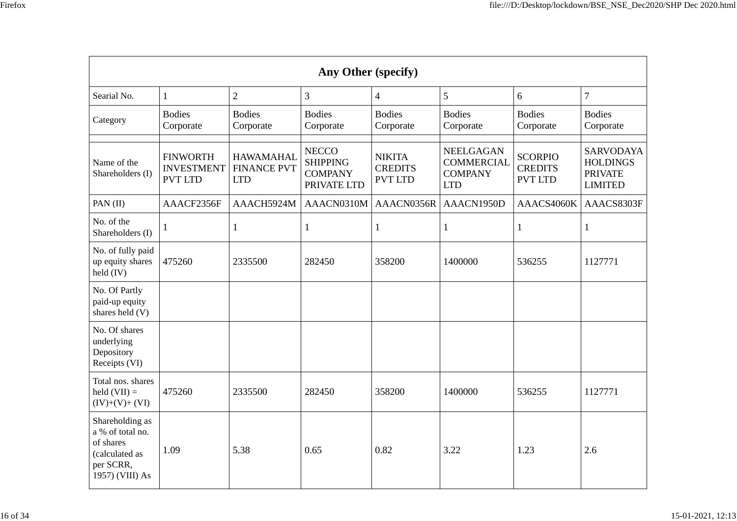| ×<br>v<br>۰. |  |
|--------------|--|
|              |  |

| Any Other (specify)                                                                                |                                                        |                                                      |                                                                  |                                                   |                                                                       |                                                    |                                                                         |  |  |  |
|----------------------------------------------------------------------------------------------------|--------------------------------------------------------|------------------------------------------------------|------------------------------------------------------------------|---------------------------------------------------|-----------------------------------------------------------------------|----------------------------------------------------|-------------------------------------------------------------------------|--|--|--|
| Searial No.                                                                                        | $\mathbf{1}$                                           | $\overline{2}$                                       | 3                                                                | $\overline{4}$                                    | 5                                                                     | 6                                                  | $\overline{7}$                                                          |  |  |  |
| Category                                                                                           | <b>Bodies</b><br>Corporate                             | <b>Bodies</b><br>Corporate                           | <b>Bodies</b><br>Corporate                                       | <b>Bodies</b><br>Corporate                        | <b>Bodies</b><br>Corporate                                            | <b>Bodies</b><br>Corporate                         | <b>Bodies</b><br>Corporate                                              |  |  |  |
| Name of the<br>Shareholders (I)                                                                    | <b>FINWORTH</b><br><b>INVESTMENT</b><br><b>PVT LTD</b> | <b>HAWAMAHAL</b><br><b>FINANCE PVT</b><br><b>LTD</b> | <b>NECCO</b><br><b>SHIPPING</b><br><b>COMPANY</b><br>PRIVATE LTD | <b>NIKITA</b><br><b>CREDITS</b><br><b>PVT LTD</b> | <b>NEELGAGAN</b><br><b>COMMERCIAL</b><br><b>COMPANY</b><br><b>LTD</b> | <b>SCORPIO</b><br><b>CREDITS</b><br><b>PVT LTD</b> | <b>SARVODAYA</b><br><b>HOLDINGS</b><br><b>PRIVATE</b><br><b>LIMITED</b> |  |  |  |
| PAN (II)                                                                                           | AAACF2356F                                             | AAACH5924M                                           | AAACN0310M                                                       | AAACN0356R                                        | AAACN1950D                                                            | AAACS4060K                                         | AAACS8303F                                                              |  |  |  |
| No. of the<br>Shareholders (I)                                                                     | 1                                                      | 1                                                    | $\mathbf{1}$                                                     | 1                                                 | 1                                                                     | 1                                                  | $\mathbf{1}$                                                            |  |  |  |
| No. of fully paid<br>up equity shares<br>held (IV)                                                 | 475260                                                 | 2335500                                              | 282450                                                           | 358200                                            | 1400000                                                               | 536255                                             | 1127771                                                                 |  |  |  |
| No. Of Partly<br>paid-up equity<br>shares held (V)                                                 |                                                        |                                                      |                                                                  |                                                   |                                                                       |                                                    |                                                                         |  |  |  |
| No. Of shares<br>underlying<br>Depository<br>Receipts (VI)                                         |                                                        |                                                      |                                                                  |                                                   |                                                                       |                                                    |                                                                         |  |  |  |
| Total nos. shares<br>held $(VII) =$<br>$(IV)+(V)+(VI)$                                             | 475260                                                 | 2335500                                              | 282450                                                           | 358200                                            | 1400000                                                               | 536255                                             | 1127771                                                                 |  |  |  |
| Shareholding as<br>a % of total no.<br>of shares<br>(calculated as<br>per SCRR,<br>1957) (VIII) As | 1.09                                                   | 5.38                                                 | 0.65                                                             | 0.82                                              | 3.22                                                                  | 1.23                                               | 2.6                                                                     |  |  |  |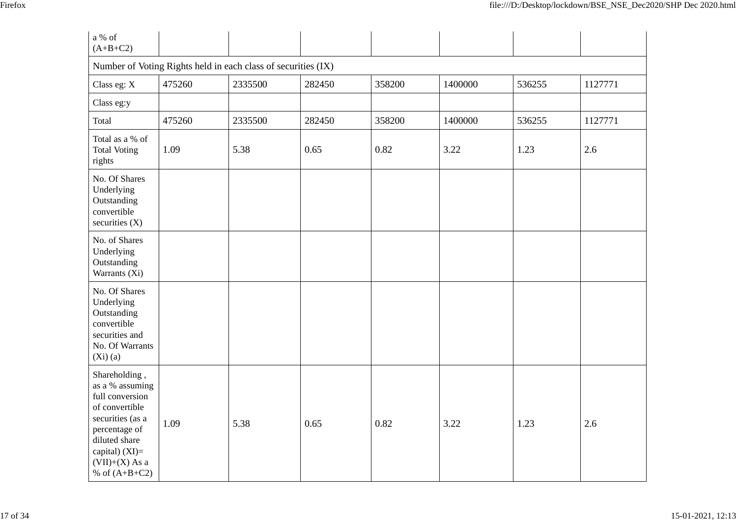| a % of<br>$(A+B+C2)$                                                                                                                                                                 |        |         |        |        |         |        |         |  |  |  |
|--------------------------------------------------------------------------------------------------------------------------------------------------------------------------------------|--------|---------|--------|--------|---------|--------|---------|--|--|--|
| Number of Voting Rights held in each class of securities (IX)                                                                                                                        |        |         |        |        |         |        |         |  |  |  |
| Class eg: X                                                                                                                                                                          | 475260 | 2335500 | 282450 | 358200 | 1400000 | 536255 | 1127771 |  |  |  |
| Class eg:y                                                                                                                                                                           |        |         |        |        |         |        |         |  |  |  |
| Total                                                                                                                                                                                | 475260 | 2335500 | 282450 | 358200 | 1400000 | 536255 | 1127771 |  |  |  |
| Total as a % of<br><b>Total Voting</b><br>rights                                                                                                                                     | 1.09   | 5.38    | 0.65   | 0.82   | 3.22    | 1.23   | 2.6     |  |  |  |
| No. Of Shares<br>Underlying<br>Outstanding<br>convertible<br>securities $(X)$                                                                                                        |        |         |        |        |         |        |         |  |  |  |
| No. of Shares<br>Underlying<br>Outstanding<br>Warrants (Xi)                                                                                                                          |        |         |        |        |         |        |         |  |  |  |
| No. Of Shares<br>Underlying<br>Outstanding<br>convertible<br>securities and<br>No. Of Warrants<br>$(Xi)$ (a)                                                                         |        |         |        |        |         |        |         |  |  |  |
| Shareholding,<br>as a % assuming<br>full conversion<br>of convertible<br>securities (as a<br>percentage of<br>diluted share<br>capital) (XI)=<br>$(VII)+(X)$ As a<br>% of $(A+B+C2)$ | 1.09   | 5.38    | 0.65   | 0.82   | 3.22    | 1.23   | 2.6     |  |  |  |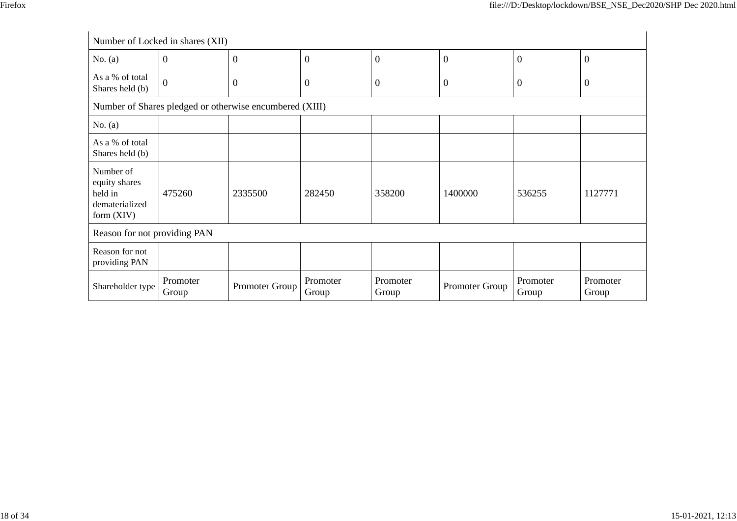|                                                                         | Number of Locked in shares (XII) |                                                         |                   |                   |                  |                   |                   |  |
|-------------------------------------------------------------------------|----------------------------------|---------------------------------------------------------|-------------------|-------------------|------------------|-------------------|-------------------|--|
| No. $(a)$                                                               | $\mathbf{0}$                     | $\overline{0}$                                          | $\boldsymbol{0}$  | $\boldsymbol{0}$  | $\boldsymbol{0}$ | $\overline{0}$    | $\boldsymbol{0}$  |  |
| As a % of total<br>Shares held (b)                                      | $\overline{0}$                   | $\mathbf{0}$                                            | $\theta$          | $\boldsymbol{0}$  | $\boldsymbol{0}$ | 0                 | $\mathbf{0}$      |  |
|                                                                         |                                  | Number of Shares pledged or otherwise encumbered (XIII) |                   |                   |                  |                   |                   |  |
| No. $(a)$                                                               |                                  |                                                         |                   |                   |                  |                   |                   |  |
| As a % of total<br>Shares held (b)                                      |                                  |                                                         |                   |                   |                  |                   |                   |  |
| Number of<br>equity shares<br>held in<br>dematerialized<br>form $(XIV)$ | 475260                           | 2335500                                                 | 282450            | 358200            | 1400000          | 536255            | 1127771           |  |
| Reason for not providing PAN                                            |                                  |                                                         |                   |                   |                  |                   |                   |  |
| Reason for not<br>providing PAN                                         |                                  |                                                         |                   |                   |                  |                   |                   |  |
| Shareholder type                                                        | Promoter<br>Group                | Promoter Group                                          | Promoter<br>Group | Promoter<br>Group | Promoter Group   | Promoter<br>Group | Promoter<br>Group |  |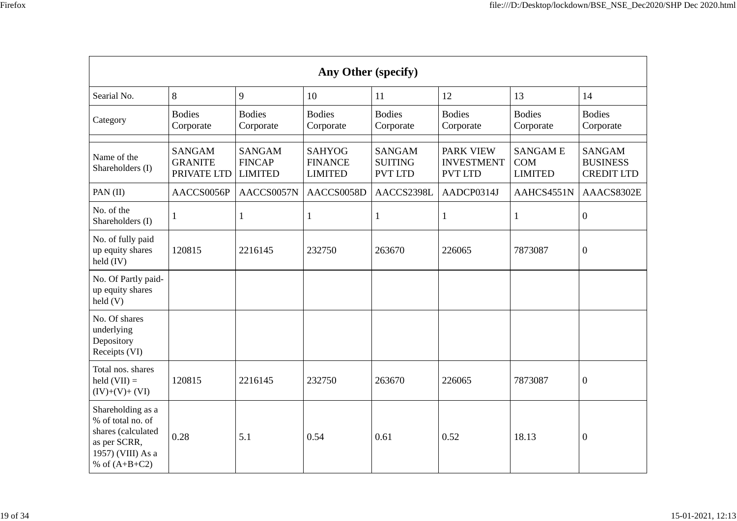| ۰. | ×<br>v |
|----|--------|
|    |        |

| Any Other (specify)                                                                                                  |                                                |                                                  |                                                   |                                                   |                                                         |                                         |                                                       |
|----------------------------------------------------------------------------------------------------------------------|------------------------------------------------|--------------------------------------------------|---------------------------------------------------|---------------------------------------------------|---------------------------------------------------------|-----------------------------------------|-------------------------------------------------------|
| Searial No.                                                                                                          | 8                                              | 9                                                | 10                                                | 11                                                | 12                                                      | 13                                      | 14                                                    |
| Category                                                                                                             | <b>Bodies</b><br>Corporate                     | <b>Bodies</b><br>Corporate                       | <b>Bodies</b><br>Corporate                        | <b>Bodies</b><br>Corporate                        | <b>Bodies</b><br>Corporate                              | <b>Bodies</b><br>Corporate              | <b>Bodies</b><br>Corporate                            |
| Name of the<br>Shareholders (I)                                                                                      | <b>SANGAM</b><br><b>GRANITE</b><br>PRIVATE LTD | <b>SANGAM</b><br><b>FINCAP</b><br><b>LIMITED</b> | <b>SAHYOG</b><br><b>FINANCE</b><br><b>LIMITED</b> | <b>SANGAM</b><br><b>SUITING</b><br><b>PVT LTD</b> | <b>PARK VIEW</b><br><b>INVESTMENT</b><br><b>PVT LTD</b> | <b>SANGAME</b><br>COM<br><b>LIMITED</b> | <b>SANGAM</b><br><b>BUSINESS</b><br><b>CREDIT LTD</b> |
| PAN (II)                                                                                                             | AACCS0056P                                     | AACCS0057N                                       | AACCS0058D                                        | AACCS2398L                                        | AADCP0314J                                              | AAHCS4551N                              | AAACS8302E                                            |
| No. of the<br>Shareholders (I)                                                                                       | 1                                              | 1                                                | 1                                                 | 1                                                 | 1                                                       | 1                                       | $\boldsymbol{0}$                                      |
| No. of fully paid<br>up equity shares<br>held (IV)                                                                   | 120815                                         | 2216145                                          | 232750                                            | 263670                                            | 226065                                                  | 7873087                                 | $\boldsymbol{0}$                                      |
| No. Of Partly paid-<br>up equity shares<br>$\text{held}(V)$                                                          |                                                |                                                  |                                                   |                                                   |                                                         |                                         |                                                       |
| No. Of shares<br>underlying<br>Depository<br>Receipts (VI)                                                           |                                                |                                                  |                                                   |                                                   |                                                         |                                         |                                                       |
| Total nos. shares<br>held $(VII) =$<br>$(IV)+(V)+(VI)$                                                               | 120815                                         | 2216145                                          | 232750                                            | 263670                                            | 226065                                                  | 7873087                                 | $\boldsymbol{0}$                                      |
| Shareholding as a<br>% of total no. of<br>shares (calculated<br>as per SCRR,<br>1957) (VIII) As a<br>% of $(A+B+C2)$ | 0.28                                           | 5.1                                              | 0.54                                              | 0.61                                              | 0.52                                                    | 18.13                                   | $\mathbf{0}$                                          |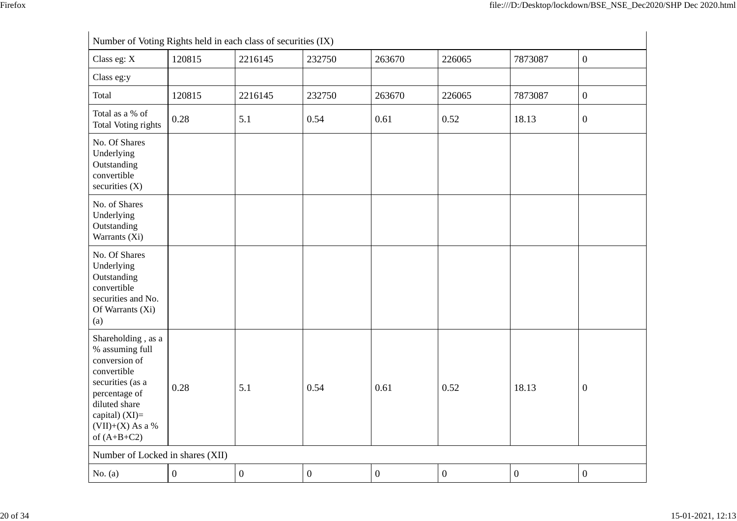| Number of Voting Rights held in each class of securities (IX)                                                                                                                          |                  |                  |                  |                  |                  |                  |                  |
|----------------------------------------------------------------------------------------------------------------------------------------------------------------------------------------|------------------|------------------|------------------|------------------|------------------|------------------|------------------|
| Class eg: X                                                                                                                                                                            | 120815           | 2216145          | 232750           | 263670           | 226065           | 7873087          | $\boldsymbol{0}$ |
| Class eg:y                                                                                                                                                                             |                  |                  |                  |                  |                  |                  |                  |
| Total                                                                                                                                                                                  | 120815           | 2216145          | 232750           | 263670           | 226065           | 7873087          | $\boldsymbol{0}$ |
| Total as a % of<br><b>Total Voting rights</b>                                                                                                                                          | 0.28             | 5.1              | 0.54             | 0.61             | 0.52             | 18.13            | $\boldsymbol{0}$ |
| No. Of Shares<br>Underlying<br>Outstanding<br>convertible<br>securities $(X)$                                                                                                          |                  |                  |                  |                  |                  |                  |                  |
| No. of Shares<br>Underlying<br>Outstanding<br>Warrants (Xi)                                                                                                                            |                  |                  |                  |                  |                  |                  |                  |
| No. Of Shares<br>Underlying<br>Outstanding<br>convertible<br>securities and No.<br>Of Warrants (Xi)<br>(a)                                                                             |                  |                  |                  |                  |                  |                  |                  |
| Shareholding, as a<br>% assuming full<br>conversion of<br>convertible<br>securities (as a<br>percentage of<br>diluted share<br>capital) $(XI)=$<br>$(VII)+(X)$ As a %<br>of $(A+B+C2)$ | 0.28             | 5.1              | 0.54             | 0.61             | 0.52             | 18.13            | $\boldsymbol{0}$ |
| Number of Locked in shares (XII)                                                                                                                                                       |                  |                  |                  |                  |                  |                  |                  |
| No. $(a)$                                                                                                                                                                              | $\boldsymbol{0}$ | $\boldsymbol{0}$ | $\boldsymbol{0}$ | $\boldsymbol{0}$ | $\boldsymbol{0}$ | $\boldsymbol{0}$ | $\boldsymbol{0}$ |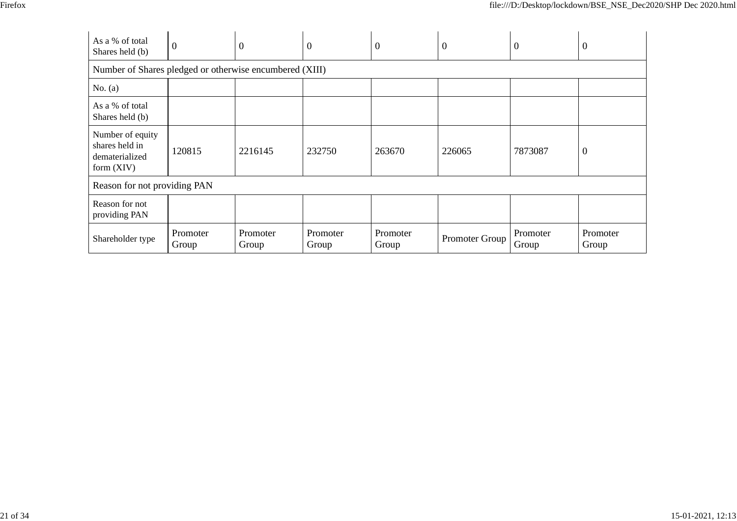| ۰,<br>۰, |  |
|----------|--|
|          |  |

| As a % of total<br>Shares held (b)                                   | $\mathbf{0}$                 | $\boldsymbol{0}$  | $\theta$          | $\boldsymbol{0}$  | $\boldsymbol{0}$ | $\theta$          | $\overline{0}$    |
|----------------------------------------------------------------------|------------------------------|-------------------|-------------------|-------------------|------------------|-------------------|-------------------|
| Number of Shares pledged or otherwise encumbered (XIII)              |                              |                   |                   |                   |                  |                   |                   |
| No. $(a)$                                                            |                              |                   |                   |                   |                  |                   |                   |
| As a % of total<br>Shares held (b)                                   |                              |                   |                   |                   |                  |                   |                   |
| Number of equity<br>shares held in<br>dematerialized<br>form $(XIV)$ | 120815                       | 2216145           | 232750            | 263670            | 226065           | 7873087           | $\overline{0}$    |
|                                                                      | Reason for not providing PAN |                   |                   |                   |                  |                   |                   |
| Reason for not<br>providing PAN                                      |                              |                   |                   |                   |                  |                   |                   |
| Shareholder type                                                     | Promoter<br>Group            | Promoter<br>Group | Promoter<br>Group | Promoter<br>Group | Promoter Group   | Promoter<br>Group | Promoter<br>Group |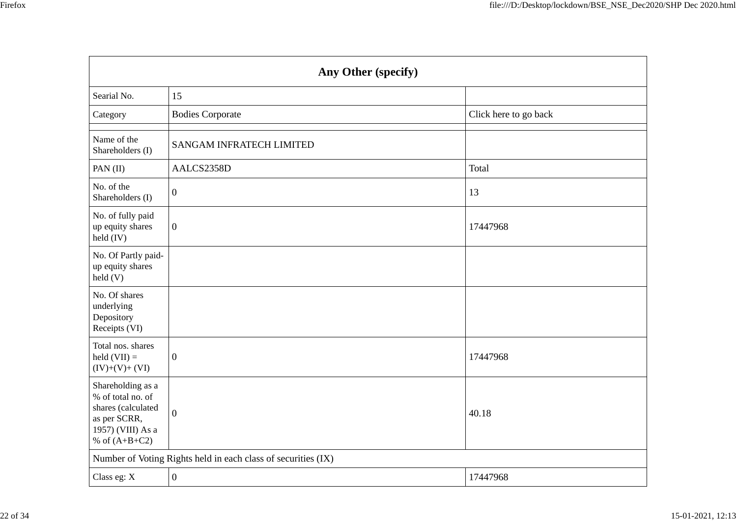| Any Other (specify)                                                                                                  |                                                               |                       |  |  |
|----------------------------------------------------------------------------------------------------------------------|---------------------------------------------------------------|-----------------------|--|--|
| Searial No.                                                                                                          | 15                                                            |                       |  |  |
| Category                                                                                                             | <b>Bodies Corporate</b>                                       | Click here to go back |  |  |
| Name of the<br>Shareholders (I)                                                                                      | <b>SANGAM INFRATECH LIMITED</b>                               |                       |  |  |
| PAN (II)                                                                                                             | AALCS2358D                                                    | Total                 |  |  |
| No. of the<br>Shareholders (I)                                                                                       | $\boldsymbol{0}$                                              | 13                    |  |  |
| No. of fully paid<br>up equity shares<br>held $(IV)$                                                                 | $\boldsymbol{0}$                                              | 17447968              |  |  |
| No. Of Partly paid-<br>up equity shares<br>held(V)                                                                   |                                                               |                       |  |  |
| No. Of shares<br>underlying<br>Depository<br>Receipts (VI)                                                           |                                                               |                       |  |  |
| Total nos. shares<br>held $(VII) =$<br>$(IV)+(V)+(VI)$                                                               | $\boldsymbol{0}$                                              | 17447968              |  |  |
| Shareholding as a<br>% of total no. of<br>shares (calculated<br>as per SCRR,<br>1957) (VIII) As a<br>% of $(A+B+C2)$ | $\theta$                                                      | 40.18                 |  |  |
|                                                                                                                      | Number of Voting Rights held in each class of securities (IX) |                       |  |  |
| Class eg: X                                                                                                          | $\boldsymbol{0}$                                              | 17447968              |  |  |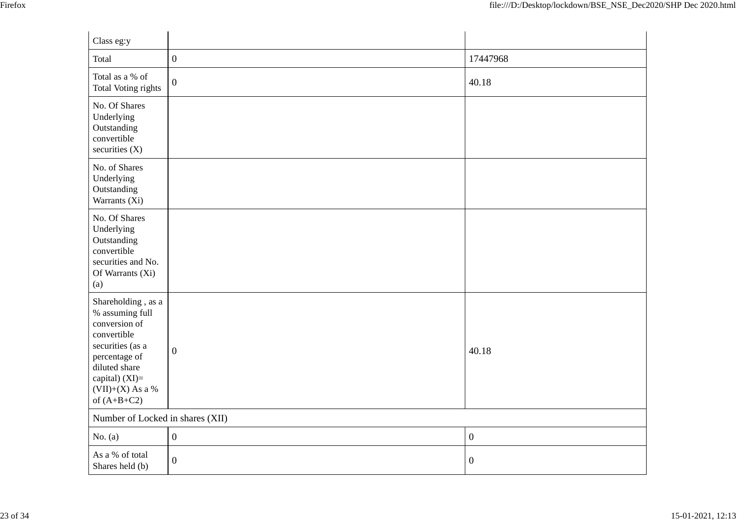| Class eg:y                                                                                                                                                                           |                                  |                  |  |  |  |
|--------------------------------------------------------------------------------------------------------------------------------------------------------------------------------------|----------------------------------|------------------|--|--|--|
| Total                                                                                                                                                                                | $\boldsymbol{0}$                 | 17447968         |  |  |  |
| Total as a % of<br><b>Total Voting rights</b>                                                                                                                                        | $\boldsymbol{0}$                 | 40.18            |  |  |  |
| No. Of Shares<br>Underlying<br>Outstanding<br>convertible<br>securities $(X)$                                                                                                        |                                  |                  |  |  |  |
| No. of Shares<br>Underlying<br>Outstanding<br>Warrants (Xi)                                                                                                                          |                                  |                  |  |  |  |
| No. Of Shares<br>Underlying<br>Outstanding<br>convertible<br>securities and No.<br>Of Warrants (Xi)<br>(a)                                                                           |                                  |                  |  |  |  |
| Shareholding, as a<br>% assuming full<br>conversion of<br>convertible<br>securities (as a<br>percentage of<br>diluted share<br>capital) (XI)=<br>$(VII)+(X)$ As a %<br>of $(A+B+C2)$ | $\mathbf{0}$                     | 40.18            |  |  |  |
|                                                                                                                                                                                      | Number of Locked in shares (XII) |                  |  |  |  |
| No. $(a)$                                                                                                                                                                            | $\boldsymbol{0}$                 | $\boldsymbol{0}$ |  |  |  |
| As a % of total<br>Shares held (b)                                                                                                                                                   | $\boldsymbol{0}$                 | $\boldsymbol{0}$ |  |  |  |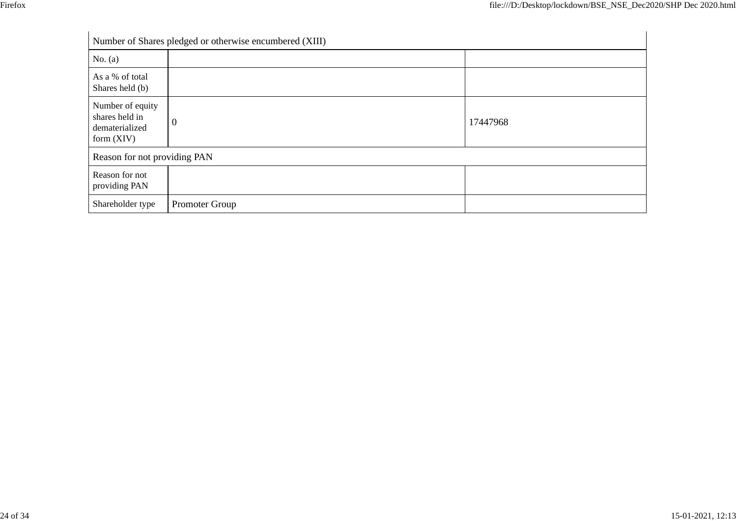| Number of Shares pledged or otherwise encumbered (XIII)              |                |          |  |
|----------------------------------------------------------------------|----------------|----------|--|
| No. $(a)$                                                            |                |          |  |
| As a % of total<br>Shares held (b)                                   |                |          |  |
| Number of equity<br>shares held in<br>dematerialized<br>form $(XIV)$ | $\mathbf{0}$   | 17447968 |  |
| Reason for not providing PAN                                         |                |          |  |
| Reason for not<br>providing PAN                                      |                |          |  |
| Shareholder type                                                     | Promoter Group |          |  |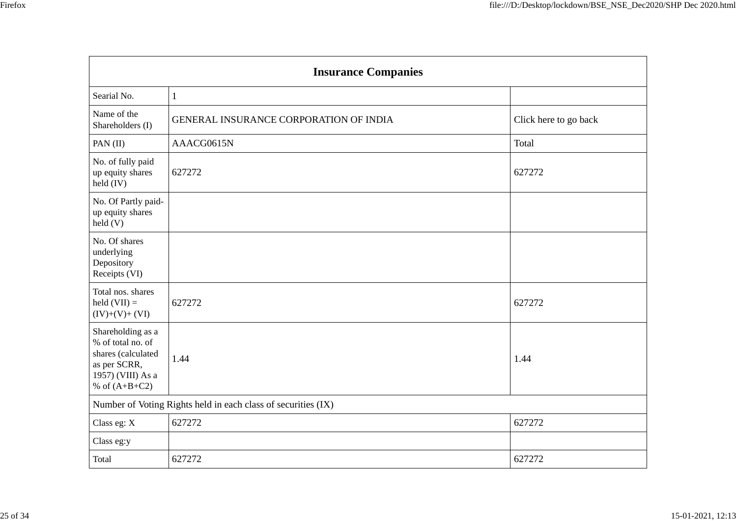| <b>Insurance Companies</b>                                                                                           |                                                               |                       |  |
|----------------------------------------------------------------------------------------------------------------------|---------------------------------------------------------------|-----------------------|--|
| Searial No.                                                                                                          | $\mathbf{1}$                                                  |                       |  |
| Name of the<br>Shareholders (I)                                                                                      | GENERAL INSURANCE CORPORATION OF INDIA                        | Click here to go back |  |
| PAN (II)                                                                                                             | AAACG0615N                                                    | Total                 |  |
| No. of fully paid<br>up equity shares<br>held (IV)                                                                   | 627272                                                        | 627272                |  |
| No. Of Partly paid-<br>up equity shares<br>$\text{held}(V)$                                                          |                                                               |                       |  |
| No. Of shares<br>underlying<br>Depository<br>Receipts (VI)                                                           |                                                               |                       |  |
| Total nos. shares<br>held $(VII) =$<br>$(IV)+(V)+(VI)$                                                               | 627272                                                        | 627272                |  |
| Shareholding as a<br>% of total no. of<br>shares (calculated<br>as per SCRR,<br>1957) (VIII) As a<br>% of $(A+B+C2)$ | 1.44                                                          | 1.44                  |  |
|                                                                                                                      | Number of Voting Rights held in each class of securities (IX) |                       |  |
| Class eg: X                                                                                                          | 627272                                                        | 627272                |  |
| Class eg:y                                                                                                           |                                                               |                       |  |
| Total                                                                                                                | 627272                                                        | 627272                |  |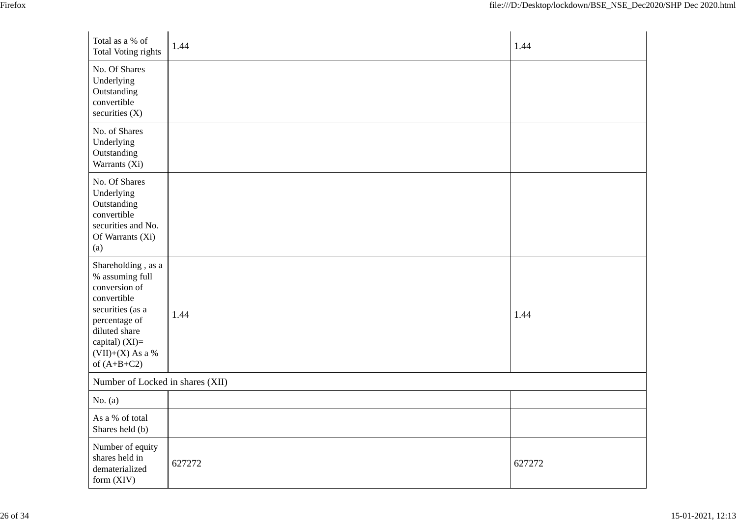| Total as a % of<br><b>Total Voting rights</b>                                                                                                                                        | 1.44   | 1.44   |
|--------------------------------------------------------------------------------------------------------------------------------------------------------------------------------------|--------|--------|
| No. Of Shares<br>Underlying<br>Outstanding<br>convertible<br>securities (X)                                                                                                          |        |        |
| No. of Shares<br>Underlying<br>Outstanding<br>Warrants (Xi)                                                                                                                          |        |        |
| No. Of Shares<br>Underlying<br>Outstanding<br>convertible<br>securities and No.<br>Of Warrants (Xi)<br>(a)                                                                           |        |        |
| Shareholding, as a<br>% assuming full<br>conversion of<br>convertible<br>securities (as a<br>percentage of<br>diluted share<br>capital) (XI)=<br>$(VII)+(X)$ As a %<br>of $(A+B+C2)$ | 1.44   | 1.44   |
| Number of Locked in shares (XII)                                                                                                                                                     |        |        |
| No. $(a)$                                                                                                                                                                            |        |        |
| As a % of total<br>Shares held (b)                                                                                                                                                   |        |        |
| Number of equity<br>shares held in<br>dematerialized<br>form (XIV)                                                                                                                   | 627272 | 627272 |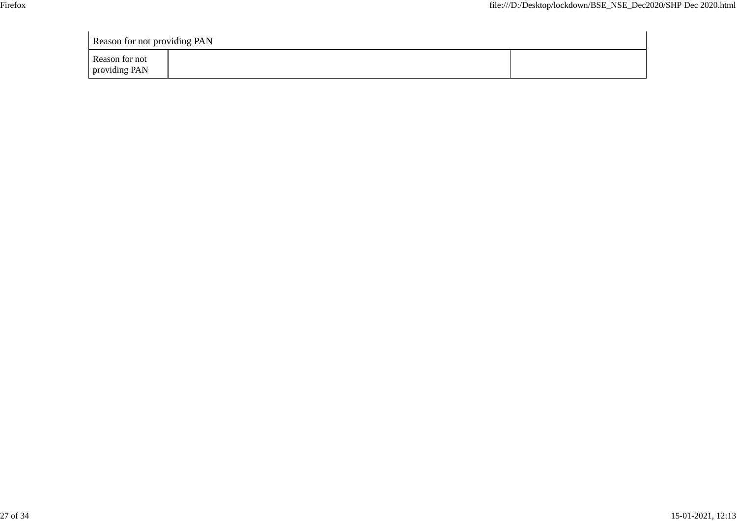| <b>Reason for not providing PAN</b> |  |
|-------------------------------------|--|
| Reason for not<br>providing PAN     |  |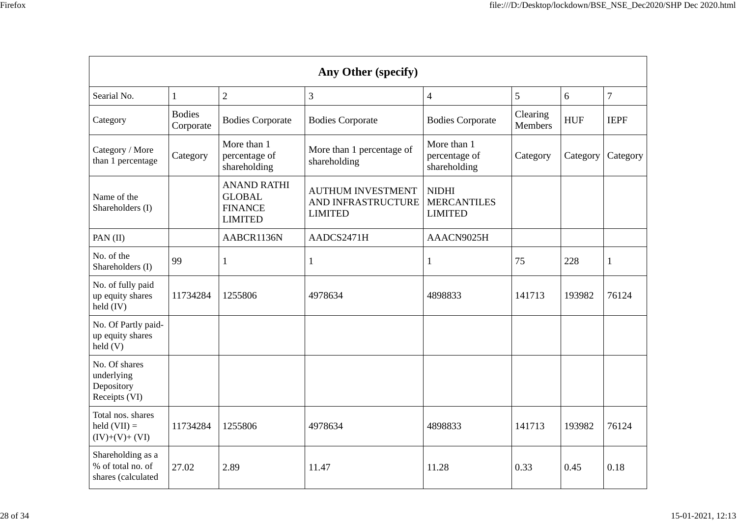| ×<br>v<br>۰. |  |
|--------------|--|
|              |  |

| <b>Any Other (specify)</b>                                          |                            |                                                                         |                                                                  |                                                      |                     |            |                |
|---------------------------------------------------------------------|----------------------------|-------------------------------------------------------------------------|------------------------------------------------------------------|------------------------------------------------------|---------------------|------------|----------------|
| Searial No.                                                         | $\mathbf{1}$               | $\overline{2}$                                                          | 3                                                                | $\overline{4}$                                       | 5                   | 6          | $\overline{7}$ |
| Category                                                            | <b>Bodies</b><br>Corporate | <b>Bodies Corporate</b>                                                 | <b>Bodies Corporate</b>                                          | <b>Bodies Corporate</b>                              | Clearing<br>Members | <b>HUF</b> | <b>IEPF</b>    |
| Category / More<br>than 1 percentage                                | Category                   | More than 1<br>percentage of<br>shareholding                            | More than 1 percentage of<br>shareholding                        | More than 1<br>percentage of<br>shareholding         | Category            | Category   | Category       |
| Name of the<br>Shareholders (I)                                     |                            | <b>ANAND RATHI</b><br><b>GLOBAL</b><br><b>FINANCE</b><br><b>LIMITED</b> | <b>AUTHUM INVESTMENT</b><br>AND INFRASTRUCTURE<br><b>LIMITED</b> | <b>NIDHI</b><br><b>MERCANTILES</b><br><b>LIMITED</b> |                     |            |                |
| PAN (II)                                                            |                            | AABCR1136N                                                              | AADCS2471H                                                       | AAACN9025H                                           |                     |            |                |
| No. of the<br>Shareholders (I)                                      | 99                         | 1                                                                       |                                                                  | 1                                                    | 75                  | 228        | 1              |
| No. of fully paid<br>up equity shares<br>held (IV)                  | 11734284                   | 1255806                                                                 | 4978634                                                          | 4898833                                              | 141713              | 193982     | 76124          |
| No. Of Partly paid-<br>up equity shares<br>$\text{held}(V)$         |                            |                                                                         |                                                                  |                                                      |                     |            |                |
| No. Of shares<br>underlying<br>Depository<br>Receipts (VI)          |                            |                                                                         |                                                                  |                                                      |                     |            |                |
| Total nos. shares<br>$\text{held}(\text{VII}) =$<br>$(IV)+(V)+(VI)$ | 11734284                   | 1255806                                                                 | 4978634                                                          | 4898833                                              | 141713              | 193982     | 76124          |
| Shareholding as a<br>% of total no. of<br>shares (calculated        | 27.02                      | 2.89                                                                    | 11.47                                                            | 11.28                                                | 0.33                | 0.45       | 0.18           |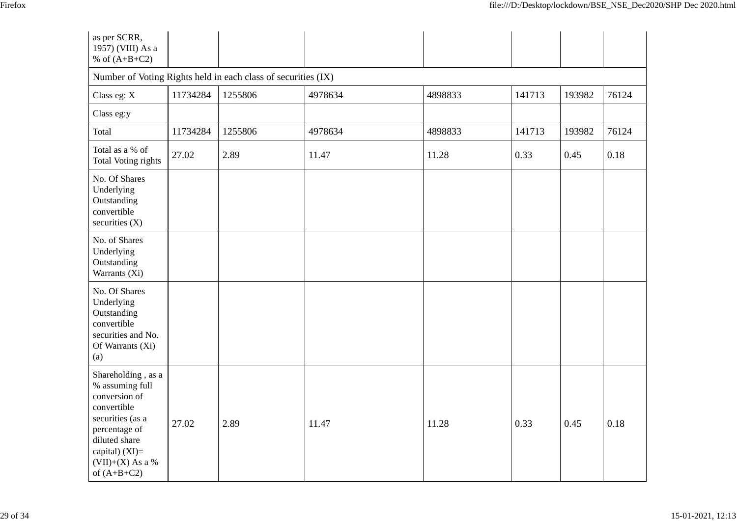| as per SCRR,<br>1957) (VIII) As a<br>% of $(A+B+C2)$                                                                                                                                 |          |                                                               |         |         |        |        |       |
|--------------------------------------------------------------------------------------------------------------------------------------------------------------------------------------|----------|---------------------------------------------------------------|---------|---------|--------|--------|-------|
|                                                                                                                                                                                      |          | Number of Voting Rights held in each class of securities (IX) |         |         |        |        |       |
| Class eg: X                                                                                                                                                                          | 11734284 | 1255806                                                       | 4978634 | 4898833 | 141713 | 193982 | 76124 |
| Class eg:y                                                                                                                                                                           |          |                                                               |         |         |        |        |       |
| Total                                                                                                                                                                                | 11734284 | 1255806                                                       | 4978634 | 4898833 | 141713 | 193982 | 76124 |
| Total as a % of<br><b>Total Voting rights</b>                                                                                                                                        | 27.02    | 2.89                                                          | 11.47   | 11.28   | 0.33   | 0.45   | 0.18  |
| No. Of Shares<br>Underlying<br>Outstanding<br>convertible<br>securities $(X)$                                                                                                        |          |                                                               |         |         |        |        |       |
| No. of Shares<br>Underlying<br>Outstanding<br>Warrants (Xi)                                                                                                                          |          |                                                               |         |         |        |        |       |
| No. Of Shares<br>Underlying<br>Outstanding<br>convertible<br>securities and No.<br>Of Warrants (Xi)<br>(a)                                                                           |          |                                                               |         |         |        |        |       |
| Shareholding, as a<br>% assuming full<br>conversion of<br>convertible<br>securities (as a<br>percentage of<br>diluted share<br>capital) (XI)=<br>$(VII)+(X)$ As a %<br>of $(A+B+C2)$ | 27.02    | 2.89                                                          | 11.47   | 11.28   | 0.33   | 0.45   | 0.18  |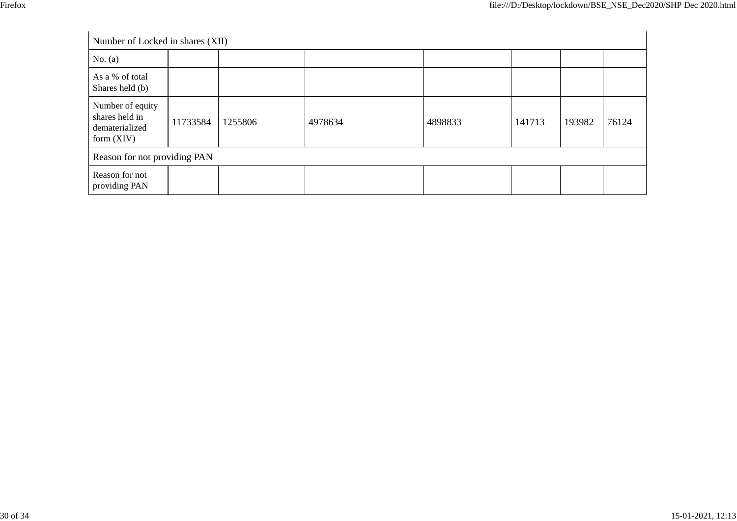| Number of Locked in shares (XII)                                     |          |         |         |         |        |        |       |
|----------------------------------------------------------------------|----------|---------|---------|---------|--------|--------|-------|
| No. $(a)$                                                            |          |         |         |         |        |        |       |
| As a % of total<br>Shares held (b)                                   |          |         |         |         |        |        |       |
| Number of equity<br>shares held in<br>dematerialized<br>form $(XIV)$ | 11733584 | 1255806 | 4978634 | 4898833 | 141713 | 193982 | 76124 |
| Reason for not providing PAN                                         |          |         |         |         |        |        |       |
| Reason for not<br>providing PAN                                      |          |         |         |         |        |        |       |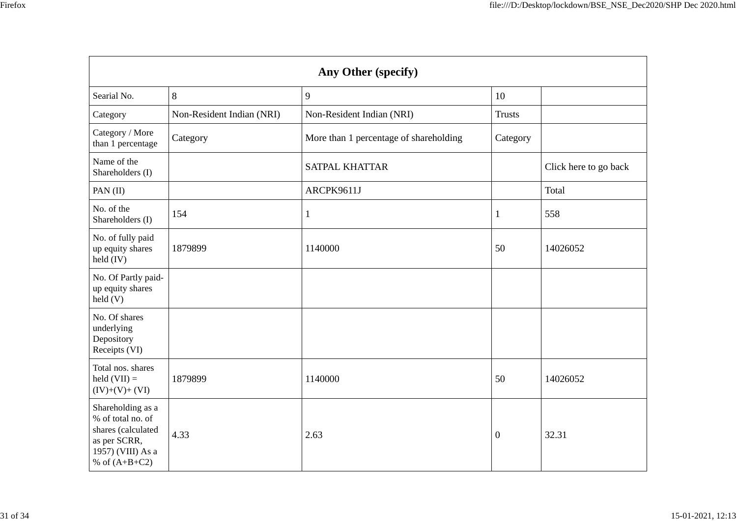| v<br>۰.<br>× |
|--------------|
|              |

| Any Other (specify)                                                                                                  |                           |                                        |               |                       |  |  |
|----------------------------------------------------------------------------------------------------------------------|---------------------------|----------------------------------------|---------------|-----------------------|--|--|
| Searial No.                                                                                                          | $8\,$                     | 9                                      | 10            |                       |  |  |
| Category                                                                                                             | Non-Resident Indian (NRI) | Non-Resident Indian (NRI)              | <b>Trusts</b> |                       |  |  |
| Category / More<br>than 1 percentage                                                                                 | Category                  | More than 1 percentage of shareholding | Category      |                       |  |  |
| Name of the<br>Shareholders (I)                                                                                      |                           | <b>SATPAL KHATTAR</b>                  |               | Click here to go back |  |  |
| PAN (II)                                                                                                             |                           | ARCPK9611J                             |               | Total                 |  |  |
| No. of the<br>Shareholders (I)                                                                                       | 154                       | $\mathbf{1}$                           | 1             | 558                   |  |  |
| No. of fully paid<br>up equity shares<br>held (IV)                                                                   | 1879899                   | 1140000                                | 50            | 14026052              |  |  |
| No. Of Partly paid-<br>up equity shares<br>held(V)                                                                   |                           |                                        |               |                       |  |  |
| No. Of shares<br>underlying<br>Depository<br>Receipts (VI)                                                           |                           |                                        |               |                       |  |  |
| Total nos. shares<br>held $(VII) =$<br>$(IV)+(V)+(VI)$                                                               | 1879899                   | 1140000                                | 50            | 14026052              |  |  |
| Shareholding as a<br>% of total no. of<br>shares (calculated<br>as per SCRR,<br>1957) (VIII) As a<br>% of $(A+B+C2)$ | 4.33                      | 2.63                                   | $\mathbf{0}$  | 32.31                 |  |  |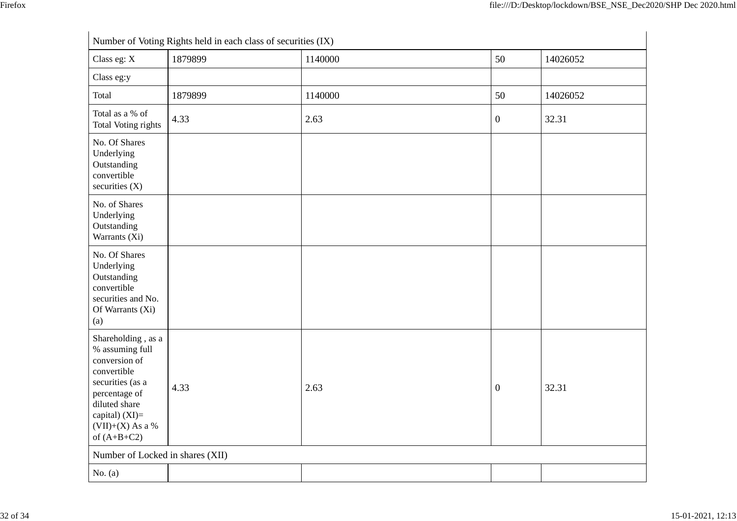| Number of Voting Rights held in each class of securities (IX)                                                                                                                          |         |         |                  |          |  |  |
|----------------------------------------------------------------------------------------------------------------------------------------------------------------------------------------|---------|---------|------------------|----------|--|--|
| Class eg: X                                                                                                                                                                            | 1879899 | 1140000 | 50               | 14026052 |  |  |
| Class eg:y                                                                                                                                                                             |         |         |                  |          |  |  |
| Total                                                                                                                                                                                  | 1879899 | 1140000 | 50               | 14026052 |  |  |
| Total as a % of<br>Total Voting rights                                                                                                                                                 | 4.33    | 2.63    | $\boldsymbol{0}$ | 32.31    |  |  |
| No. Of Shares<br>Underlying<br>Outstanding<br>convertible<br>securities $(X)$                                                                                                          |         |         |                  |          |  |  |
| No. of Shares<br>Underlying<br>Outstanding<br>Warrants (Xi)                                                                                                                            |         |         |                  |          |  |  |
| No. Of Shares<br>Underlying<br>Outstanding<br>convertible<br>securities and No.<br>Of Warrants (Xi)<br>(a)                                                                             |         |         |                  |          |  |  |
| Shareholding, as a<br>% assuming full<br>conversion of<br>convertible<br>securities (as a<br>percentage of<br>diluted share<br>capital) $(XI)=$<br>$(VII)+(X)$ As a %<br>of $(A+B+C2)$ | 4.33    | 2.63    | $\boldsymbol{0}$ | 32.31    |  |  |
| Number of Locked in shares (XII)                                                                                                                                                       |         |         |                  |          |  |  |
| No. $(a)$                                                                                                                                                                              |         |         |                  |          |  |  |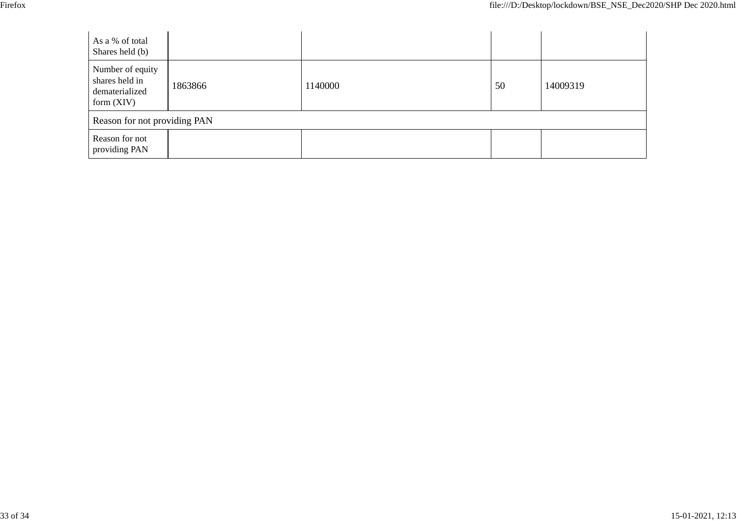| v<br>۰, |
|---------|
|---------|

| As a % of total<br>Shares held (b)                                   |         |         |    |          |
|----------------------------------------------------------------------|---------|---------|----|----------|
| Number of equity<br>shares held in<br>dematerialized<br>form $(XIV)$ | 1863866 | 1140000 | 50 | 14009319 |
| Reason for not providing PAN                                         |         |         |    |          |
| Reason for not<br>providing PAN                                      |         |         |    |          |